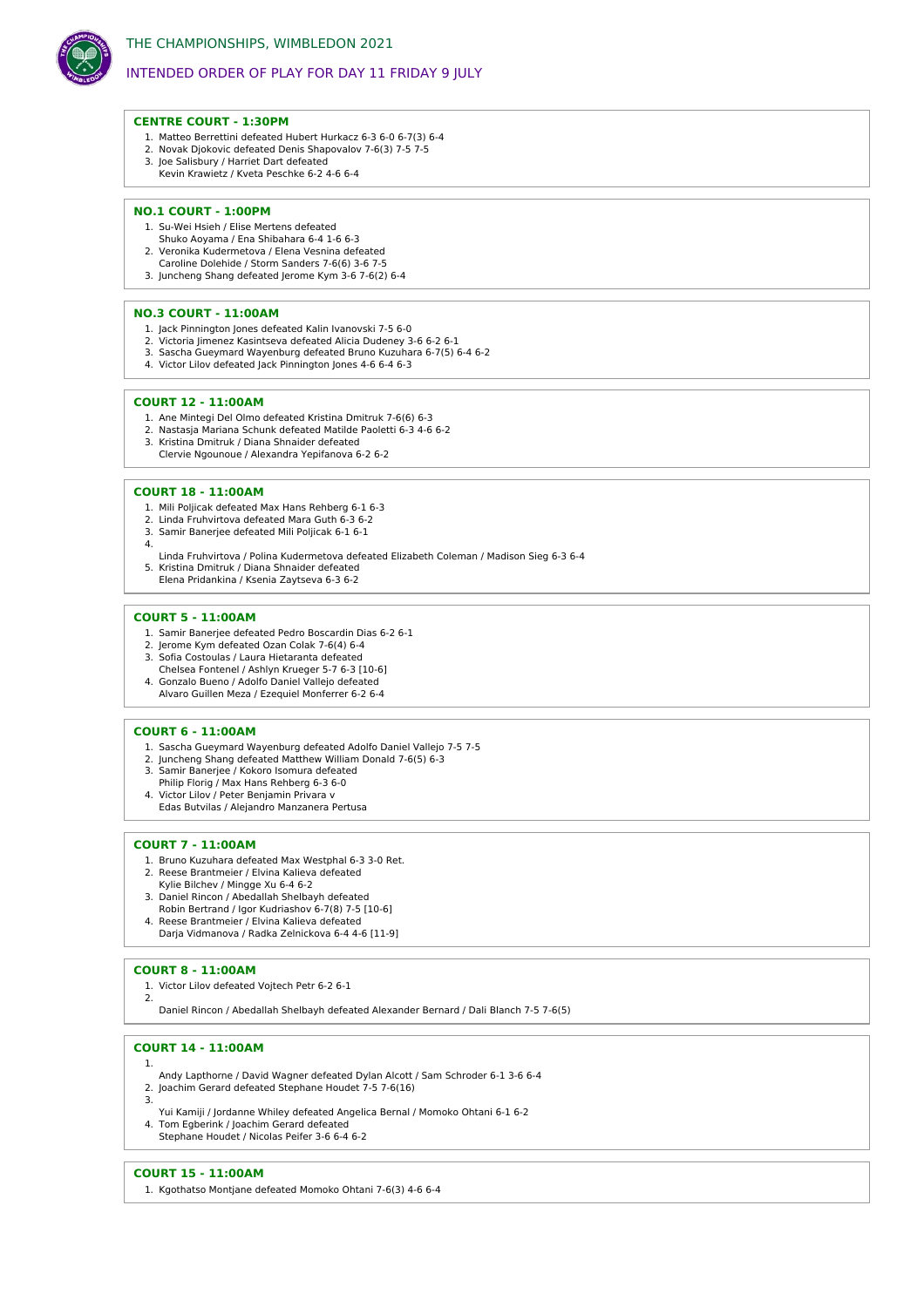

# INTENDED ORDER OF PLAY FOR DAY 11 FRIDAY 9 JULY

## **CENTRE COURT - 1:30PM**

- 1. Matteo Berrettini defeated Hubert Hurkacz 6-3 6-0 6-7(3) 6-4
- 2. Novak Djokovic defeated Denis Shapovalov 7-6(3) 7-5 7-5
- 3. Joe Salisbury / Harriet Dart defeated Kevin Krawietz / Kveta Peschke 6-2 4-6 6-4

## **NO.1 COURT - 1:00PM**

- 1. Su-Wei Hsieh / Elise Mertens defeated
- Shuko Aoyama / Ena Shibahara 6-4 1-6 6-3
- 2. Veronika Kudermetova / Elena Vesnina defeated Caroline Dolehide / Storm Sanders 7-6(6) 3-6 7-5
- 3. Juncheng Shang defeated Jerome Kym 3-6 7-6(2) 6-4

## **NO.3 COURT - 11:00AM**

- 1. Jack Pinnington Jones defeated Kalin Ivanovski 7-5 6-0
- 2. Victoria limenez Kasintseva defeated Alicia Dudeney 3-6 6-2 6-1 3. Sascha Gueymard Wayenburg defeated Bruno Kuzuhara 6-7(5) 6-4 6-2
- 4. Victor Lilov defeated Jack Pinnington Jones 4-6 6-4 6-3

## **COURT 12 - 11:00AM**

- 1. Ane Mintegi Del Olmo defeated Kristina Dmitruk 7-6(6) 6-3
- 2. Nastasja Mariana Schunk defeated Matilde Paoletti 6-3 4-6 6-2
- 3. Kristina Dmitruk / Diana Shnaider defeated
- Clervie Ngounoue / Alexandra Yepifanova 6-2 6-2

#### **COURT 18 - 11:00AM**

- 1. Mili Poljicak defeated Max Hans Rehberg 6-1 6-3
- 2. Linda Fruhvirtova defeated Mara Guth 6-3 6-2
- 3. Samir Banerjee defeated Mili Poljicak 6-1 6-1 4.
- Linda Fruhvirtova / Polina Kudermetova defeated Elizabeth Coleman / Madison Sieg 6-3 6-4 5. Kristina Dmitruk / Diana Shnaider defeated Elena Pridankina / Ksenia Zaytseva 6-3 6-2

#### **COURT 5 - 11:00AM**

- 1. Samir Banerjee defeated Pedro Boscardin Dias 6-2 6-1
- 2. Jerome Kym defeated Ozan Colak 7-6(4) 6-4
- 3. Sofia Costoulas / Laura Hietaranta defeated
- Chelsea Fontenel / Ashlyn Krueger 5-7 6-3 [10-6] 4. Gonzalo Bueno / Adolfo Daniel Vallejo defeated
- Alvaro Guillen Meza / Ezequiel Monferrer 6-2 6-4

## **COURT 6 - 11:00AM**

- 1. Sascha Gueymard Wayenburg defeated Adolfo Daniel Vallejo 7-5 7-5 2. Juncheng Shang defeated Matthew William Donald 7-6(5) 6-3
- 
- 3. Samir Banerjee / Kokoro Isomura defeated
- Philip Florig / Max Hans Rehberg 6-3 6-0
- 4. Victor Lilov / Peter Benjamin Privara v Edas Butvilas / Alejandro Manzanera Pertusa
- 

#### **COURT 7 - 11:00AM**

- 1. Bruno Kuzuhara defeated Max Westphal 6-3 3-0 Ret.
- 2. Reese Brantmeier / Elvina Kalieva defeated
- Kylie Bilchev / Mingge Xu 6-4 6-2
- 3. Daniel Rincon / Abedallah Shelbayh defeated
- Robin Bertrand / Igor Kudriashov 6-7(8) 7-5 [10-6] 4. Reese Brantmeier / Elvina Kalieva defeated
- Darja Vidmanova / Radka Zelnickova 6-4 4-6 [11-9]

#### **COURT 8 - 11:00AM**

1. Victor Lilov defeated Vojtech Petr 6-2 6-1  $\mathcal{L}$ 

Daniel Rincon / Abedallah Shelbayh defeated Alexander Bernard / Dali Blanch 7-5 7-6(5)

#### **COURT 14 - 11:00AM**

1.

- Andy Lapthorne / David Wagner defeated Dylan Alcott / Sam Schroder 6-1 3-6 6-4
- 2. Joachim Gerard defeated Stephane Houdet 7-5 7-6(16) 3.
- Yui Kamiji / Jordanne Whiley defeated Angelica Bernal / Momoko Ohtani 6-1 6-2
- 4. Tom Egberink / Joachim Gerard defeated
- Stephane Houdet / Nicolas Peifer 3-6 6-4 6-2

#### **COURT 15 - 11:00AM**

1. Kgothatso Montjane defeated Momoko Ohtani 7-6(3) 4-6 6-4